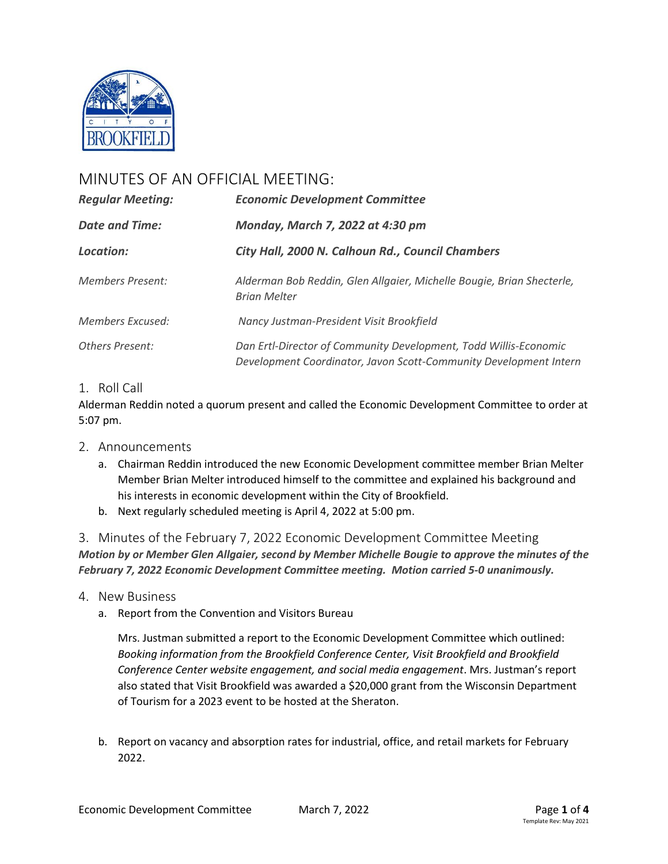

# MINUTES OF AN OFFICIAL MEETING:

| <b>Regular Meeting:</b><br><b>Date and Time:</b><br>Location: | <b>Economic Development Committee</b><br>Monday, March 7, 2022 at 4:30 pm<br>City Hall, 2000 N. Calhoun Rd., Council Chambers         |                         |                                                                                              |
|---------------------------------------------------------------|---------------------------------------------------------------------------------------------------------------------------------------|-------------------------|----------------------------------------------------------------------------------------------|
|                                                               |                                                                                                                                       | <b>Members Present:</b> | Alderman Bob Reddin, Glen Allgaier, Michelle Bougie, Brian Shecterle,<br><b>Brian Melter</b> |
|                                                               |                                                                                                                                       | Members Excused:        | Nancy Justman-President Visit Brookfield                                                     |
| Others Present:                                               | Dan Ertl-Director of Community Development, Todd Willis-Economic<br>Development Coordinator, Javon Scott-Community Development Intern |                         |                                                                                              |

## 1. Roll Call

Alderman Reddin noted a quorum present and called the Economic Development Committee to order at 5:07 pm.

### 2. Announcements

- a. Chairman Reddin introduced the new Economic Development committee member Brian Melter Member Brian Melter introduced himself to the committee and explained his background and his interests in economic development within the City of Brookfield.
- b. Next regularly scheduled meeting is April 4, 2022 at 5:00 pm.

3. Minutes of the February 7, 2022 Economic Development Committee Meeting *Motion by or Member Glen Allgaier, second by Member Michelle Bougie to approve the minutes of the February 7, 2022 Economic Development Committee meeting. Motion carried 5-0 unanimously.*

- 4. New Business
	- a. Report from the Convention and Visitors Bureau

Mrs. Justman submitted a report to the Economic Development Committee which outlined: *Booking information from the Brookfield Conference Center, Visit Brookfield and Brookfield Conference Center website engagement, and social media engagement*. Mrs. Justman's report also stated that Visit Brookfield was awarded a \$20,000 grant from the Wisconsin Department of Tourism for a 2023 event to be hosted at the Sheraton.

b. Report on vacancy and absorption rates for industrial, office, and retail markets for February 2022.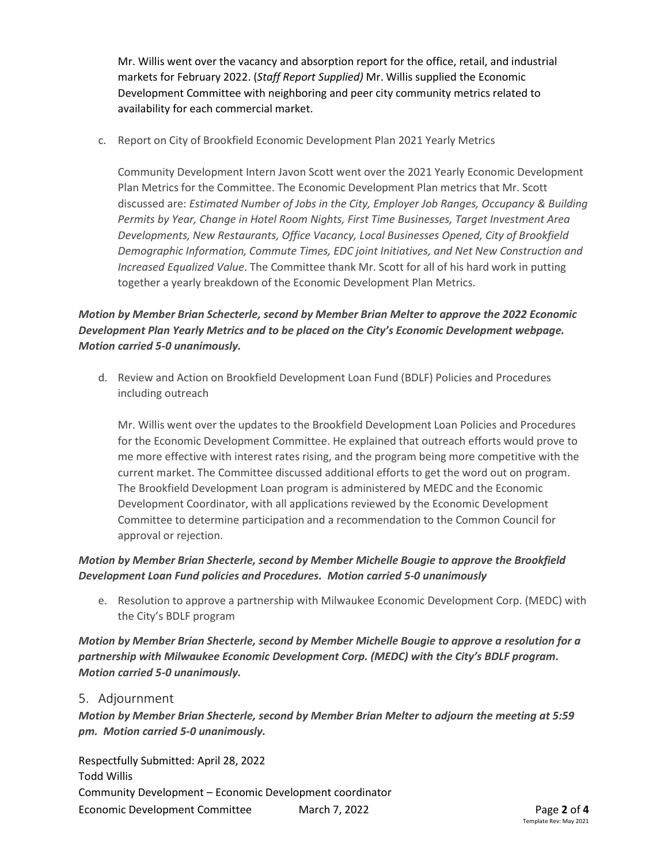Mr. Willis went over the vacancy and absorption report for the office, retail, and industrial markets for February 2022. (*Staff Report Supplied)* Mr. Willis supplied the Economic Development Committee with neighboring and peer city community metrics related to availability for each commercial market.

c. Report on City of Brookfield Economic Development Plan 2021 Yearly Metrics

Community Development Intern Javon Scott went over the 2021 Yearly Economic Development Plan Metrics for the Committee. The Economic Development Plan metrics that Mr. Scott discussed are: *Estimated Number of Jobs in the City, Employer Job Ranges, Occupancy & Building Permits by Year, Change in Hotel Room Nights, First Time Businesses, Target Investment Area Developments, New Restaurants, Office Vacancy, Local Businesses Opened, City of Brookfield Demographic Information, Commute Times, EDC joint Initiatives, and Net New Construction and Increased Equalized Value*. The Committee thank Mr. Scott for all of his hard work in putting together a yearly breakdown of the Economic Development Plan Metrics.

# *Motion by Member Brian Schecterle, second by Member Brian Melter to approve the 2022 Economic Development Plan Yearly Metrics and to be placed on the City's Economic Development webpage. Motion carried 5-0 unanimously.*

d. Review and Action on Brookfield Development Loan Fund (BDLF) Policies and Procedures including outreach

Mr. Willis went over the updates to the Brookfield Development Loan Policies and Procedures for the Economic Development Committee. He explained that outreach efforts would prove to me more effective with interest rates rising, and the program being more competitive with the current market. The Committee discussed additional efforts to get the word out on program. The Brookfield Development Loan program is administered by MEDC and the Economic Development Coordinator, with all applications reviewed by the Economic Development Committee to determine participation and a recommendation to the Common Council for approval or rejection.

## *Motion by Member Brian Shecterle, second by Member Michelle Bougie to approve the Brookfield Development Loan Fund policies and Procedures. Motion carried 5-0 unanimously*

e. Resolution to approve a partnership with Milwaukee Economic Development Corp. (MEDC) with the City's BDLF program

*Motion by Member Brian Shecterle, second by Member Michelle Bougie to approve a resolution for a partnership with Milwaukee Economic Development Corp. (MEDC) with the City's BDLF program. Motion carried 5-0 unanimously.*

### 5. Adjournment

*Motion by Member Brian Shecterle, second by Member Brian Melter to adjourn the meeting at 5:59 pm. Motion carried 5-0 unanimously.*

Economic Development Committee March 7, 2022 Page **2** of **4** Respectfully Submitted: April 28, 2022 Todd Willis Community Development – Economic Development coordinator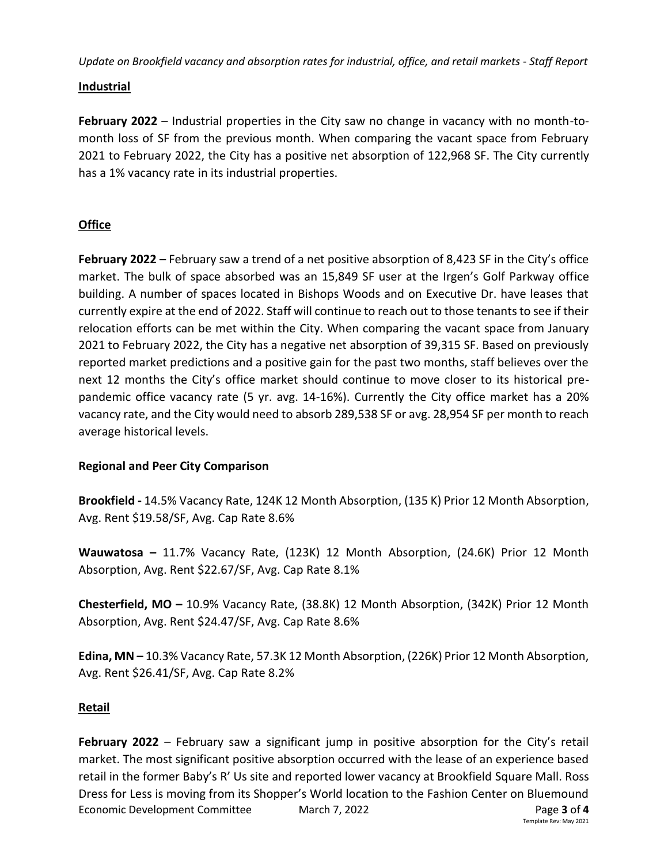*Update on Brookfield vacancy and absorption rates for industrial, office, and retail markets - Staff Report*

## **Industrial**

**February 2022** – Industrial properties in the City saw no change in vacancy with no month-tomonth loss of SF from the previous month. When comparing the vacant space from February 2021 to February 2022, the City has a positive net absorption of 122,968 SF. The City currently has a 1% vacancy rate in its industrial properties.

# **Office**

**February 2022** – February saw a trend of a net positive absorption of 8,423 SF in the City's office market. The bulk of space absorbed was an 15,849 SF user at the Irgen's Golf Parkway office building. A number of spaces located in Bishops Woods and on Executive Dr. have leases that currently expire at the end of 2022. Staff will continue to reach out to those tenants to see if their relocation efforts can be met within the City. When comparing the vacant space from January 2021 to February 2022, the City has a negative net absorption of 39,315 SF. Based on previously reported market predictions and a positive gain for the past two months, staff believes over the next 12 months the City's office market should continue to move closer to its historical prepandemic office vacancy rate (5 yr. avg. 14-16%). Currently the City office market has a 20% vacancy rate, and the City would need to absorb 289,538 SF or avg. 28,954 SF per month to reach average historical levels.

### **Regional and Peer City Comparison**

**Brookfield -** 14.5% Vacancy Rate, 124K 12 Month Absorption, (135 K) Prior 12 Month Absorption, Avg. Rent \$19.58/SF, Avg. Cap Rate 8.6%

**Wauwatosa –** 11.7% Vacancy Rate, (123K) 12 Month Absorption, (24.6K) Prior 12 Month Absorption, Avg. Rent \$22.67/SF, Avg. Cap Rate 8.1%

**Chesterfield, MO –** 10.9% Vacancy Rate, (38.8K) 12 Month Absorption, (342K) Prior 12 Month Absorption, Avg. Rent \$24.47/SF, Avg. Cap Rate 8.6%

**Edina, MN –** 10.3% Vacancy Rate, 57.3K 12 Month Absorption, (226K) Prior 12 Month Absorption, Avg. Rent \$26.41/SF, Avg. Cap Rate 8.2%

# **Retail**

Economic Development Committee March 7, 2022 Page **3** of **4 February 2022** – February saw a significant jump in positive absorption for the City's retail market. The most significant positive absorption occurred with the lease of an experience based retail in the former Baby's R' Us site and reported lower vacancy at Brookfield Square Mall. Ross Dress for Less is moving from its Shopper's World location to the Fashion Center on Bluemound